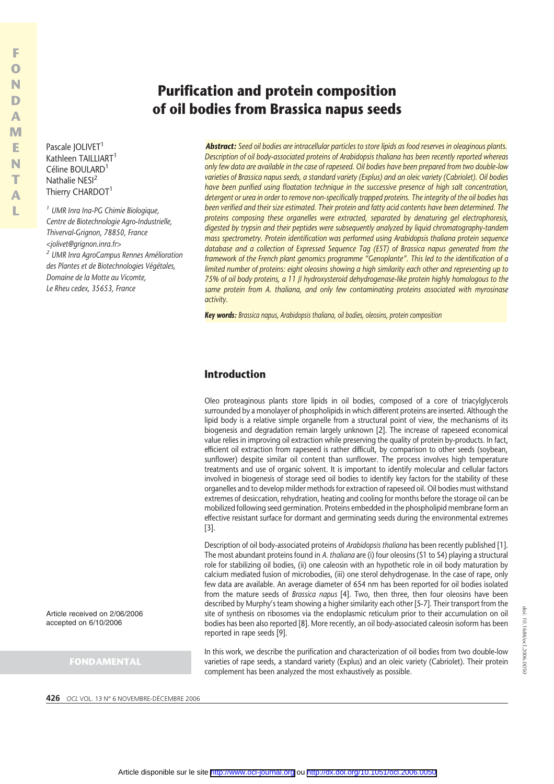Pascale IOLIVET<sup>1</sup> Kathleen TAILLIART<sup>1</sup> Céline BOULARD<sup>1</sup> Nathalie NESI<sup>2</sup> Thierry CHARDOT<sup>1</sup>

**F O N D A M E N T A L**

*<sup>1</sup> UMR Inra Ina-PG Chimie Biologique, Centre de Biotechnologie Agro-Industrielle, Thiverval-Grignon, 78850, France <jolivet@grignon.inra.fr> <sup>2</sup> UMR Inra AgroCampus Rennes Amélioration des Plantes et de Biotechnologies Végétales, Domaine de la Motte au Vicomte, Le Rheu cedex, 35653, France*

*Abstract: Seed oil bodies are intracellular particles to store lipids as food reserves in oleaginous plants. Description of oil body-associated proteins of Arabidopsis thaliana has been recently reported whereas only few data are available in the case of rapeseed. Oil bodies have been prepared from two double-low varieties of Brassica napus seeds, a standard variety (Explus) and an oleic variety (Cabriolet). Oil bodies have been purified using floatation technique in the successive presence of high salt concentration, detergent or urea in order to remove non-specifically trapped proteins. The integrity of the oil bodies has been verified and their size estimated. Their protein and fatty acid contents have been determined. The proteins composing these organelles were extracted, separated by denaturing gel electrophoresis, digested by trypsin and their peptides were subsequently analyzed by liquid chromatography-tandem mass spectrometry. Protein identification was performed using Arabidopsis thaliana protein sequence database and a collection of Expressed Sequence Tag (EST) of Brassica napus generated from the framework of the French plant genomics programme "Genoplante". This led to the identification of a limited number of proteins: eight oleosins showing a high similarity each other and representing up to 75% of oil body proteins, a 11 b hydroxysteroid dehydrogenase-like protein highly homologous to the same protein from A. thaliana, and only few contaminating proteins associated with myrosinase activity.*

*Key words: Brassica napus, Arabidopsis thaliana, oil bodies, oleosins, protein composition*

## **Introduction**

Oleo proteaginous plants store lipids in oil bodies, composed of a core of triacylglycerols surrounded by a monolayer of phospholipids in which different proteins are inserted. Although the lipid body is a relative simple organelle from a structural point of view, the mechanisms of its biogenesis and degradation remain largely unknown [2]. The increase of rapeseed economical value relies in improving oil extraction while preserving the quality of protein by-products. In fact, efficient oil extraction from rapeseed is rather difficult, by comparison to other seeds (soybean, sunflower) despite similar oil content than sunflower. The process involves high temperature treatments and use of organic solvent. It is important to identify molecular and cellular factors involved in biogenesis of storage seed oil bodies to identify key factors for the stability of these organelles and to develop milder methods for extraction of rapeseed oil. Oil bodies must withstand extremes of desiccation, rehydration, heating and cooling for months before the storage oil can be mobilized following seed germination. Proteins embedded in the phospholipid membrane form an effective resistant surface for dormant and germinating seeds during the environmental extremes [3].

Description of oil body-associated proteins of *Arabidopsis thaliana* has been recently published [1]. The most abundant proteins found in *A. thaliana* are (i) four oleosins (S1 to S4) playing a structural role for stabilizing oil bodies, (ii) one caleosin with an hypothetic role in oil body maturation by calcium mediated fusion of microbodies, (iii) one sterol dehydrogenase. In the case of rape, only few data are available. An average diameter of 654 nm has been reported for oil bodies isolated from the mature seeds of *Brassica napus* [4]. Two, then three, then four oleosins have been described by Murphy's team showing a higher similarity each other [5-7]. Their transport from the site of synthesis on ribosomes via the endoplasmic reticulum prior to their accumulation on oil bodies has been also reported [8]. More recently, an oil body-associated caleosin isoform has been reported in rape seeds [9].

In this work, we describe the purification and characterization of oil bodies from two double-low varieties of rape seeds, a standard variety (Explus) and an oleic variety (Cabriolet). Their protein complement has been analyzed the most exhaustively as possible.

**426** *OCL* VOL. 13 N° 6 NOVEMBRE-DÉCEMBRE 2006

Article received on 2/06/2006 accepted on 6/10/2006

**FONDAMENTAL**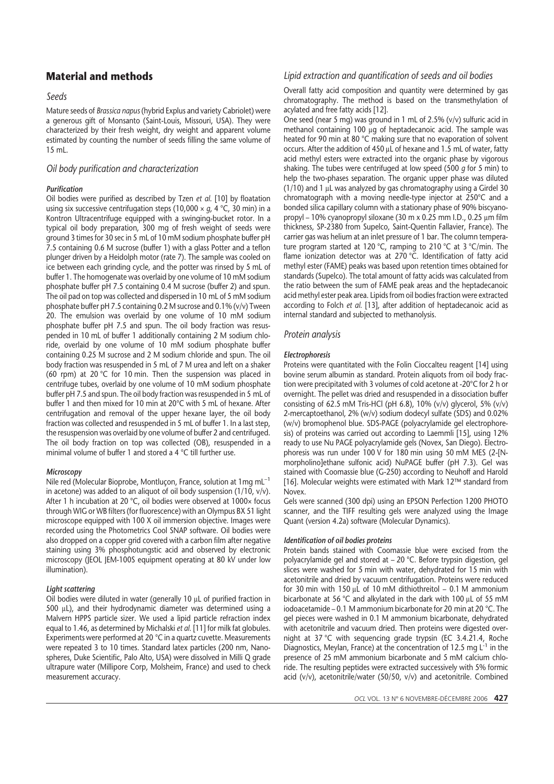# **Material and methods**

### *Seeds*

Mature seeds of *Brassica napus* (hybrid Explus and variety Cabriolet) were a generous gift of Monsanto (Saint-Louis, Missouri, USA). They were characterized by their fresh weight, dry weight and apparent volume estimated by counting the number of seeds filling the same volume of 15 mL.

### *Oil body purification and characterization*

### *Purification*

Oil bodies were purified as described by Tzen *et al*. [10] by floatation using six successive centrifugation steps (10,000 × *g*, 4 °C, 30 min) in a Kontron Ultracentrifuge equipped with a swinging-bucket rotor. In a typical oil body preparation, 300 mg of fresh weight of seeds were ground 3 times for 30 sec in 5 mL of 10 mM sodium phosphate buffer pH 7.5 containing 0.6 M sucrose (buffer 1) with a glass Potter and a teflon plunger driven by a Heidolph motor (rate 7). The sample was cooled on ice between each grinding cycle, and the potter was rinsed by 5 mL of buffer 1. The homogenate was overlaid by one volume of 10 mM sodium phosphate buffer pH 7.5 containing 0.4 M sucrose (buffer 2) and spun. The oil pad on top was collected and dispersed in 10 mL of 5 mM sodium phosphate buffer pH 7.5 containing 0.2 M sucrose and 0.1% (v/v) Tween 20. The emulsion was overlaid by one volume of 10 mM sodium phosphate buffer pH 7.5 and spun. The oil body fraction was resuspended in 10 mL of buffer 1 additionally containing 2 M sodium chloride, overlaid by one volume of 10 mM sodium phosphate buffer containing 0.25 M sucrose and 2 M sodium chloride and spun. The oil body fraction was resuspended in 5 mL of 7 M urea and left on a shaker (60 rpm) at 20 °C for 10 min. Then the suspension was placed in centrifuge tubes, overlaid by one volume of 10 mM sodium phosphate buffer pH 7.5 and spun. The oil body fraction was resuspended in 5 mL of buffer 1 and then mixed for 10 min at 20°C with 5 mL of hexane. After centrifugation and removal of the upper hexane layer, the oil body fraction was collected and resuspended in 5 mL of buffer 1. In a last step, the resuspension was overlaid by one volume of buffer 2 and centrifuged. The oil body fraction on top was collected (OB), resuspended in a minimal volume of buffer 1 and stored a 4 °C till further use.

### *Microscopy*

Nile red (Molecular Bioprobe, Montluçon, France, solution at 1mg mL–1 in acetone) was added to an aliquot of oil body suspension ( $1/10$ ,  $v/v$ ). After 1 h incubation at 20 °C, oil bodies were observed at 1000x focus through WIG or WB filters (for fluorescence) with an Olympus BX 51 light microscope equipped with 100 X oil immersion objective. Images were recorded using the Photometrics Cool SNAP software. Oil bodies were also dropped on a copper grid covered with a carbon film after negative staining using 3% phosphotungstic acid and observed by electronic microscopy (JEOL JEM-100S equipment operating at 80 kV under low illumination).

#### *Light scattering*

Oil bodies were diluted in water (generally 10 µL of purified fraction in 500 µL), and their hydrodynamic diameter was determined using a Malvern HPPS particle sizer. We used a lipid particle refraction index equal to 1.46, as determined by Michalski *et al.* [11] for milk fat globules. Experiments were performed at 20 °C in a quartz cuvette. Measurements were repeated 3 to 10 times. Standard latex particles (200 nm, Nanospheres, Duke Scientific, Palo Alto, USA) were dissolved in Milli Q grade ultrapure water (Millipore Corp, Molsheim, France) and used to check measurement accuracy.

## *Lipid extraction and quantification of seeds and oil bodies*

Overall fatty acid composition and quantity were determined by gas chromatography. The method is based on the transmethylation of acylated and free fatty acids [12].

One seed (near 5 mg) was ground in 1 mL of 2.5% (v/v) sulfuric acid in methanol containing 100 µg of heptadecanoic acid. The sample was heated for 90 min at 80 °C making sure that no evaporation of solvent occurs. After the addition of 450  $\mu$ L of hexane and 1.5 mL of water, fatty acid methyl esters were extracted into the organic phase by vigorous shaking. The tubes were centrifuged at low speed (500 *g* for 5 min) to help the two-phases separation. The organic upper phase was diluted ( $1/10$ ) and  $1 \mu$ L was analyzed by gas chromatography using a Girdel 30 chromatograph with a moving needle-type injector at 250°C and a bonded silica capillary column with a stationary phase of 90% biscyanopropyl – 10% cyanopropyl siloxane (30 m x 0.25 mm I.D., 0.25  $\mu$ m film thickness, SP-2380 from Supelco, Saint-Quentin Fallavier, France). The carrier gas was helium at an inlet pressure of 1 bar. The column temperature program started at 120 °C, ramping to 210 °C at 3 °C/min. The flame ionization detector was at 270 °C. Identification of fatty acid methyl ester (FAME) peaks was based upon retention times obtained for standards (Supelco). The total amount of fatty acids was calculated from the ratio between the sum of FAME peak areas and the heptadecanoic acid methyl ester peak area. Lipids from oil bodies fraction were extracted according to Folch *et al.* [13], after addition of heptadecanoic acid as internal standard and subjected to methanolysis.

### *Protein analysis*

#### *Electrophoresis*

Proteins were quantitated with the Folin Cioccalteu reagent [14] using bovine serum albumin as standard. Protein aliquots from oil body fraction were precipitated with 3 volumes of cold acetone at -20°C for 2 h or overnight. The pellet was dried and resuspended in a dissociation buffer consisting of 62.5 mM Tris-HCl (pH 6.8), 10% (v/v) glycerol, 5% (v/v) 2-mercaptoethanol, 2% (w/v) sodium dodecyl sulfate (SDS) and 0.02% (w/v) bromophenol blue. SDS-PAGE (polyacrylamide gel electrophoresis) of proteins was carried out according to Laemmli [15], using 12% ready to use Nu PAGE polyacrylamide gels (Novex, San Diego). Electrophoresis was run under 100 V for 180 min using 50 mM MES (2-[Nmorpholino]ethane sulfonic acid) NuPAGE buffer (pH 7.3). Gel was stained with Coomassie blue (G-250) according to Neuhoff and Harold [16]. Molecular weights were estimated with Mark 12™ standard from Novex.

Gels were scanned (300 dpi) using an EPSON Perfection 1200 PHOTO scanner, and the TIFF resulting gels were analyzed using the Image Quant (version 4.2a) software (Molecular Dynamics).

#### *Identification of oil bodies proteins*

Protein bands stained with Coomassie blue were excised from the polyacrylamide gel and stored at – 20 °C. Before trypsin digestion, gel slices were washed for 5 min with water, dehydrated for 15 min with acetonitrile and dried by vacuum centrifugation. Proteins were reduced for 30 min with 150  $\mu$ L of 10 mM dithiothreitol – 0.1 M ammonium bicarbonate at 56 °C and alkylated in the dark with 100  $\mu$ L of 55 mM iodoacetamide – 0.1 M ammonium bicarbonate for 20 min at 20 °C. The gel pieces were washed in 0.1 M ammonium bicarbonate, dehydrated with acetonitrile and vacuum dried. Then proteins were digested overnight at 37 °C with sequencing grade trypsin (EC 3.4.21.4, Roche Diagnostics, Meylan, France) at the concentration of 12.5 mg  $L^{-1}$  in the presence of 25 mM ammonium bicarbonate and 5 mM calcium chloride. The resulting peptides were extracted successively with 5% formic acid (v/v), acetonitrile/water (50/50, v/v) and acetonitrile. Combined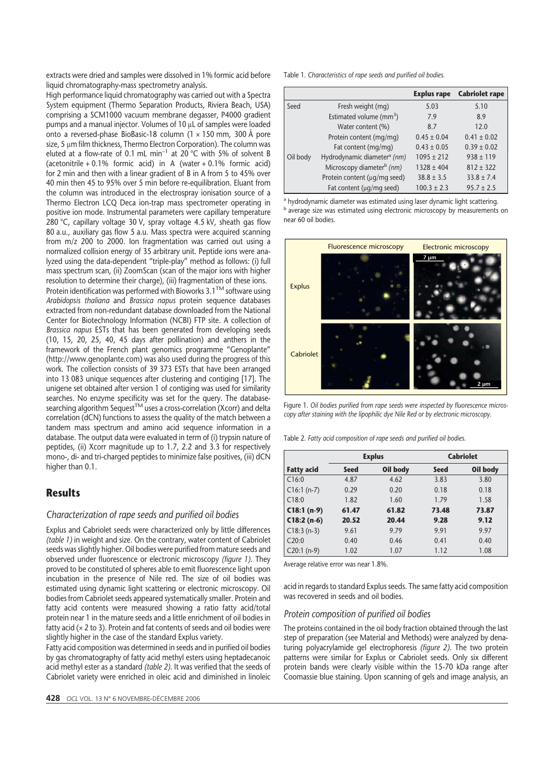extracts were dried and samples were dissolved in 1% formic acid before liquid chromatography-mass spectrometry analysis.

High performance liquid chromatography was carried out with a Spectra System equipment (Thermo Separation Products, Riviera Beach, USA) comprising a SCM1000 vacuum membrane degasser, P4000 gradient pumps and a manual injector. Volumes of 10  $\mu$ L of samples were loaded onto a reversed-phase BioBasic-18 column (1 × 150 mm, 300 Å pore size, 5 um film thickness, Thermo Electron Corporation). The column was eluted at a flow-rate of 0.1 mL min<sup>-1</sup> at 20 °C with 5% of solvent B (acetonitrile  $+ 0.1\%$  formic acid) in A (water  $+ 0.1\%$  formic acid) for 2 min and then with a linear gradient of B in A from 5 to 45% over 40 min then 45 to 95% over 5 min before re-equilibration. Eluant from the column was introduced in the electrospray ionisation source of a Thermo Electron LCQ Deca ion-trap mass spectrometer operating in positive ion mode. Instrumental parameters were capillary temperature 280 °C, capillary voltage 30 V, spray voltage 4.5 kV, sheath gas flow 80 a.u., auxiliary gas flow 5 a.u. Mass spectra were acquired scanning from m/z 200 to 2000. Ion fragmentation was carried out using a normalized collision energy of 35 arbitrary unit. Peptide ions were analyzed using the data-dependent "triple-play" method as follows: (i) full mass spectrum scan, (ii) ZoomScan (scan of the major ions with higher resolution to determine their charge), (iii) fragmentation of these ions. Protein identification was performed with Bioworks 3.1™ software using *Arabidopsis thaliana* and *Brassica napus* protein sequence databases extracted from non-redundant database downloaded from the National Center for Biotechnology Information (NCBI) FTP site. A collection of *Brassica napus* ESTs that has been generated from developing seeds (10, 15, 20, 25, 40, 45 days after pollination) and anthers in the framework of the French plant genomics programme "Genoplante" (http://www.genoplante.com) was also used during the progress of this work. The collection consists of 39 373 ESTs that have been arranged into 13 083 unique sequences after clustering and contiging [17]. The unigene set obtained after version 1 of contiging was used for similarity searches. No enzyme specificity was set for the query. The databasesearching algorithm Sequest<sup>TM</sup> uses a cross-correlation (Xcorr) and delta correlation (dCN) functions to assess the quality of the match between a tandem mass spectrum and amino acid sequence information in a database. The output data were evaluated in term of (i) trypsin nature of peptides, (ii) Xcorr magnitude up to 1.7, 2.2 and 3.3 for respectively mono-, di- and tri-charged peptides to minimize false positives, (iii) dCN higher than 0.1.

## **Results**

### *Characterization of rape seeds and purified oil bodies*

Explus and Cabriolet seeds were characterized only by little differences *(table 1)* in weight and size. On the contrary, water content of Cabriolet seeds was slightly higher. Oil bodies were purified from mature seeds and observed under fluorescence or electronic microscopy *(figure 1)*. They proved to be constituted of spheres able to emit fluorescence light upon incubation in the presence of Nile red. The size of oil bodies was estimated using dynamic light scattering or electronic microscopy. Oil bodies from Cabriolet seeds appeared systematically smaller. Protein and fatty acid contents were measured showing a ratio fatty acid/total protein near 1 in the mature seeds and a little enrichment of oil bodies in fatty acid (× 2 to 3). Protein and fat contents of seeds and oil bodies were slightly higher in the case of the standard Explus variety.

Fatty acid composition was determined in seeds and in purified oil bodies by gas chromatography of fatty acid methyl esters using heptadecanoic acid methyl ester as a standard *(table 2)*. It was verified that the seeds of Cabriolet variety were enriched in oleic acid and diminished in linoleic

|  | Table 1. Characteristics of rape seeds and purified oil bodies. |  |  |  |  |
|--|-----------------------------------------------------------------|--|--|--|--|
|--|-----------------------------------------------------------------|--|--|--|--|

|          |                                         | <b>Explus rape</b> | <b>Cabriolet rape</b> |
|----------|-----------------------------------------|--------------------|-----------------------|
| Seed     | Fresh weight (mg)                       | 5.03               | 5.10                  |
|          | Estimated volume ( $mm3$ )              | 7.9                | 8.9                   |
|          | Water content (%)                       | 8.7                | 12.0                  |
|          | Protein content (mg/mg)                 | $0.45 \pm 0.04$    | $0.41 \pm 0.02$       |
|          | Fat content (mg/mg)                     | $0.43 \pm 0.05$    | $0.39 \pm 0.02$       |
| Oil body | Hydrodynamic diameter <sup>a</sup> (nm) | $1095 \pm 212$     | $938 \pm 119$         |
|          | Microscopy diameter <sup>b</sup> (nm)   | $1328 \pm 404$     | $812 \pm 322$         |
|          | Protein content (µg/mg seed)            | $38.8 \pm 3.5$     | $33.8 \pm 7.4$        |
|          | Fat content (µq/mq seed)                | $100.3 \pm 2.3$    | $95.7 \pm 2.5$        |

<sup>a</sup> hydrodynamic diameter was estimated using laser dynamic light scattering. b average size was estimated using electronic microscopy by measurements on near 60 oil bodies.



Figure 1. *Oil bodies purified from rape seeds were inspected by fluorescence microscopy after staining with the lipophilic dye Nile Red or by electronic microscopy.*

Table 2*. Fatty acid composition of rape seeds and purified oil bodies.*

|                   | <b>Explus</b>           |       | <b>Cabriolet</b> |          |  |
|-------------------|-------------------------|-------|------------------|----------|--|
| <b>Fatty acid</b> | Oil body<br><b>Seed</b> |       | <b>Seed</b>      | Oil body |  |
| C16:0             | 4.87                    | 4.62  | 3.83             | 3.80     |  |
| $C16:1(n-7)$      | 0.29                    | 0.20  | 0.18             | 0.18     |  |
| C18:0             | 1.82                    | 1.60  | 1.79             | 1.58     |  |
| $C18:1(n-9)$      | 61.47                   | 61.82 | 73.48            | 73.87    |  |
| $C18:2(n-6)$      | 20.52                   | 20.44 | 9.28             | 9.12     |  |
| $C18:3(n-3)$      | 9.61                    | 9.79  | 9.91             | 9.97     |  |
| C20:0             | 0.40                    | 0.46  | 0.41             | 0.40     |  |
| $C20:1(n-9)$      | 1.02                    | 1.07  | 1.12             | 1.08     |  |

Average relative error was near 1.8%.

acid in regards to standard Explus seeds. The same fatty acid composition was recovered in seeds and oil bodies.

### *Protein composition of purified oil bodies*

The proteins contained in the oil body fraction obtained through the last step of preparation (see Material and Methods) were analyzed by denaturing polyacrylamide gel electrophoresis *(figure 2)*. The two protein patterns were similar for Explus or Cabriolet seeds. Only six different protein bands were clearly visible within the 15-70 kDa range after Coomassie blue staining. Upon scanning of gels and image analysis, an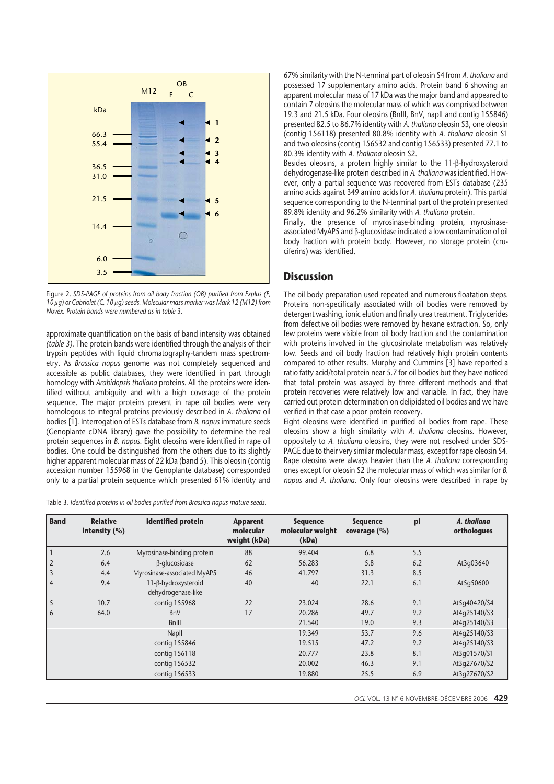

Figure 2. *SDS-PAGE of proteins from oil body fraction (OB) purified from Explus (E, 10 lg) or Cabriolet (C, 10 lg) seeds. Molecular mass marker was Mark 12 (M12) from Novex. Protein bands were numbered as in table 3.*

approximate quantification on the basis of band intensity was obtained *(table 3)*. The protein bands were identified through the analysis of their trypsin peptides with liquid chromatography-tandem mass spectrometry. As *Brassica napus* genome was not completely sequenced and accessible as public databases, they were identified in part through homology with *Arabidopsis thaliana* proteins. All the proteins were identified without ambiguity and with a high coverage of the protein sequence. The major proteins present in rape oil bodies were very homologous to integral proteins previously described in *A. thaliana* oil bodies [1]. Interrogation of ESTs database from *B. napus* immature seeds (Genoplante cDNA library) gave the possibility to determine the real protein sequences in *B. napus*. Eight oleosins were identified in rape oil bodies. One could be distinguished from the others due to its slightly higher apparent molecular mass of 22 kDa (band 5). This oleosin (contig accession number 155968 in the Genoplante database) corresponded only to a partial protein sequence which presented 61% identity and

Table 3*. Identified proteins in oil bodies purified from Brassica napus mature seeds.*

67% similarity with the N-terminal part of oleosin S4 from *A. thaliana* and possessed 17 supplementary amino acids. Protein band 6 showing an apparent molecular mass of 17 kDa was the major band and appeared to contain 7 oleosins the molecular mass of which was comprised between 19.3 and 21.5 kDa. Four oleosins (BnIII, BnV, napII and contig 155846) presented 82.5 to 86.7% identity with *A. thaliana* oleosin S3, one oleosin (contig 156118) presented 80.8% identity with *A. thaliana* oleosin S1 and two oleosins (contig 156532 and contig 156533) presented 77.1 to 80.3% identity with *A. thaliana* oleosin S2.

Besides oleosins, a protein highly similar to the 11-B-hydroxysteroid dehydrogenase-like protein described in *A. thaliana* was identified. However, only a partial sequence was recovered from ESTs database (235 amino acids against 349 amino acids for *A. thaliana* protein). This partial sequence corresponding to the N-terminal part of the protein presented 89.8% identity and 96.2% similarity with *A. thaliana* protein.

Finally, the presence of myrosinase-binding protein, myrosinaseassociated MyAP5 and  $\beta$ -glucosidase indicated a low contamination of oil body fraction with protein body. However, no storage protein (cruciferins) was identified.

## **Discussion**

The oil body preparation used repeated and numerous floatation steps. Proteins non-specifically associated with oil bodies were removed by detergent washing, ionic elution and finally urea treatment. Triglycerides from defective oil bodies were removed by hexane extraction. So, only few proteins were visible from oil body fraction and the contamination with proteins involved in the glucosinolate metabolism was relatively low. Seeds and oil body fraction had relatively high protein contents compared to other results. Murphy and Cummins [3] have reported a ratio fatty acid/total protein near 5.7 for oil bodies but they have noticed that total protein was assayed by three different methods and that protein recoveries were relatively low and variable. In fact, they have carried out protein determination on delipidated oil bodies and we have verified in that case a poor protein recovery.

Eight oleosins were identified in purified oil bodies from rape. These oleosins show a high similarity with *A. thaliana* oleosins. However, oppositely to *A. thaliana* oleosins, they were not resolved under SDS-PAGE due to their very similar molecular mass, except for rape oleosin S4. Rape oleosins were always heavier than the *A. thaliana* corresponding ones except for oleosin S2 the molecular mass of which was similar for *B. napus* and *A. thaliana*. Only four oleosins were described in rape by

| <b>Band</b>    | <b>Relative</b><br>intensity $(%)$ | <b>Identified protein</b>                 | <b>Apparent</b><br>molecular<br>weight (kDa) | <b>Sequence</b><br>molecular weight<br>(kDa) | <b>Sequence</b><br>coverage (%) | pl  | A. thaliana<br>orthologues |
|----------------|------------------------------------|-------------------------------------------|----------------------------------------------|----------------------------------------------|---------------------------------|-----|----------------------------|
|                | 2.6                                | Myrosinase-binding protein                | 88                                           | 99.404                                       | 6.8                             | 5.5 |                            |
| $\overline{2}$ | 6.4                                | <b>B-glucosidase</b>                      | 62                                           | 56.283                                       | 5.8                             | 6.2 | At3q03640                  |
| 3              | 4.4                                | Myrosinase-associated MyAP5               | 46                                           | 41.797                                       | 31.3                            | 8.5 |                            |
| $\overline{4}$ | 9.4                                | 11-β-hydroxysteroid<br>dehydrogenase-like | 40                                           | 40                                           | 22.1                            | 6.1 | At5q50600                  |
| 5              | 10.7                               | contig 155968                             | 22                                           | 23.024                                       | 28.6                            | 9.1 | At5q40420/S4               |
| 6              | 64.0                               | <b>BnV</b>                                | 17                                           | 20.286                                       | 49.7                            | 9.2 | At4q25140/S3               |
|                |                                    | <b>BnIII</b>                              |                                              | 21.540                                       | 19.0                            | 9.3 | At4q25140/S3               |
|                |                                    | Napll                                     |                                              | 19.349                                       | 53.7                            | 9.6 | At4q25140/S3               |
|                |                                    | contig 155846                             |                                              | 19.515                                       | 47.2                            | 9.2 | At4q25140/S3               |
|                |                                    | contig 156118                             |                                              | 20.777                                       | 23.8                            | 8.1 | At3q01570/S1               |
|                |                                    | contig 156532                             |                                              | 20.002                                       | 46.3                            | 9.1 | At3q27670/S2               |
|                |                                    | contig 156533                             |                                              | 19.880                                       | 25.5                            | 6.9 | At3q27670/S2               |

*OCL* VOL. 13 N° 6 NOVEMBRE-DÉCEMBRE 2006 **429**